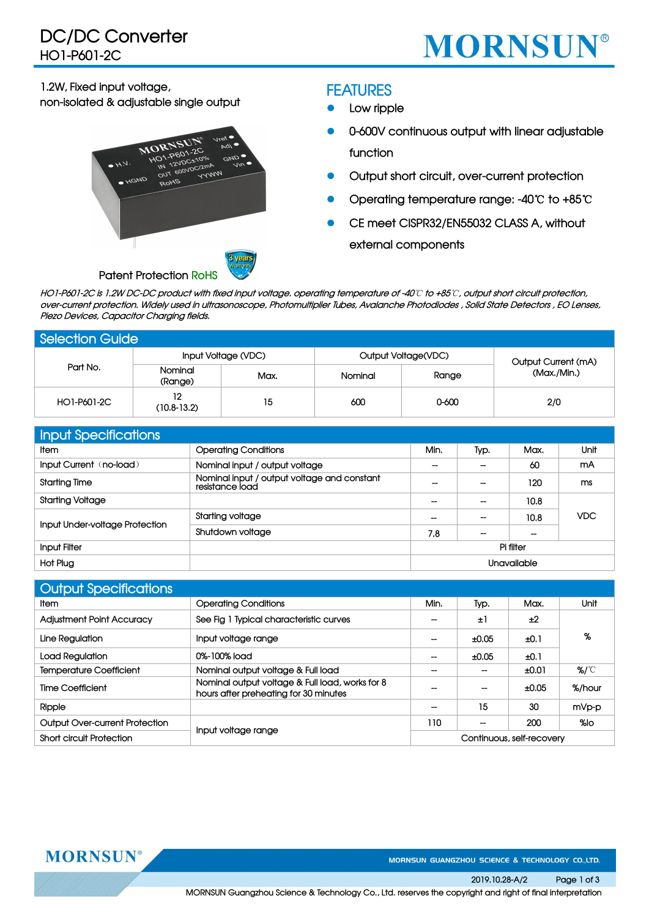

**1.2W, Fixed input voltage,**

**non-isolated & adjustable single output**



#### **FEATURES**

- **Low ripple**
- **0-600V continuous output with linear adjustable function**
- **Output short circuit, over-current protection**
- **Operating temperature range: -40**℃ **to +85**℃
- **CE meet CISPR32/EN55032 CLASS A, without**

**external components**

HO1-P601-2C is 1.2W DC-DC product with fixed input voltage, operating temperature of -40°C to +85°C, output short circuit protection, over-current protection. Widely used in ultrasonoscope, Photomultiplier Tubes, Avalanche Photodiodes , Solid State Detectors , EO Lenses, **Piezo Devices, Capacitor Charging fields.**

| <b>Selection Guide</b> |                     |      |         |                     |                     |  |
|------------------------|---------------------|------|---------|---------------------|---------------------|--|
| Part No.               | Input Voltage (VDC) |      |         | Output Voltage(VDC) | Output Current (mA) |  |
|                        | Nominal<br>(Range)  | Max. | Nominal | Range               | (Max./Min.)         |  |
| HO1-P601-2C            | 12<br>$(10.8-13.2)$ | 15   | 600     | 0-600               | 2/0                 |  |

| Input Specifications           |                                                                |                    |                          |           |      |  |
|--------------------------------|----------------------------------------------------------------|--------------------|--------------------------|-----------|------|--|
| <b>Item</b>                    | <b>Operating Conditions</b>                                    | Min.               | Typ.                     | Max.      | Unit |  |
| Input Current (no-load)        | Nominal input / output voltage                                 | $\hspace{0.05cm}$  | $\overline{\phantom{a}}$ | 60        | mA   |  |
| <b>Starting Time</b>           | Nominal input / output voltage and constant<br>resistance load | --                 | $\overline{\phantom{a}}$ | 120       | ms   |  |
| <b>Starting Voltage</b>        |                                                                | $\hspace{0.05cm}$  | $\overline{\phantom{a}}$ | 10.8      |      |  |
|                                | Starting voltage                                               | --                 | $\overline{\phantom{a}}$ | 10.8      | VDC. |  |
| Input Under-voltage Protection | Shutdown voltage                                               | 7.8                | $\overline{\phantom{a}}$ | --        |      |  |
| Input Filter                   |                                                                |                    |                          | Pi filter |      |  |
| Hot Plug                       |                                                                | <b>Unavailable</b> |                          |           |      |  |

| <b>Output Specifications</b>     |                                                                                          |      |                           |       |        |
|----------------------------------|------------------------------------------------------------------------------------------|------|---------------------------|-------|--------|
| Item                             | <b>Operating Conditions</b>                                                              | Min. | Typ.                      | Max.  | Unit   |
| <b>Adjustment Point Accuracy</b> | See Fig 1 Typical characteristic curves                                                  |      | ±1                        | ±2    |        |
| Line Regulation                  | Input voltage range                                                                      | --   | ±0.05                     | ±0.1  | %      |
| Load Regulation                  | 0%-100% load                                                                             | --   | ±0.05                     | ±0.1  |        |
| <b>Temperature Coefficient</b>   | Nominal output voltage & Full load                                                       |      | --                        | ±0.01 | %/℃    |
| <b>Time Coefficient</b>          | Nominal output voltage & Full load, works for 8<br>hours after preheating for 30 minutes |      | --                        | ±0.05 | %/hour |
| Ripple                           |                                                                                          | --   | 15                        | 30    | mVp-p  |
| Output Over-current Protection   |                                                                                          | 110  | --                        | 200   | $%$ lo |
| <b>Short circuit Protection</b>  | Input voltage range                                                                      |      | Continuous, self-recovery |       |        |

**MORNSUN®** 

MORNSUN GUANGZHOU SCIENCE & TECHNOLOGY CO.,LTD.

**2019.10.28-A/2 Page 1 of 3**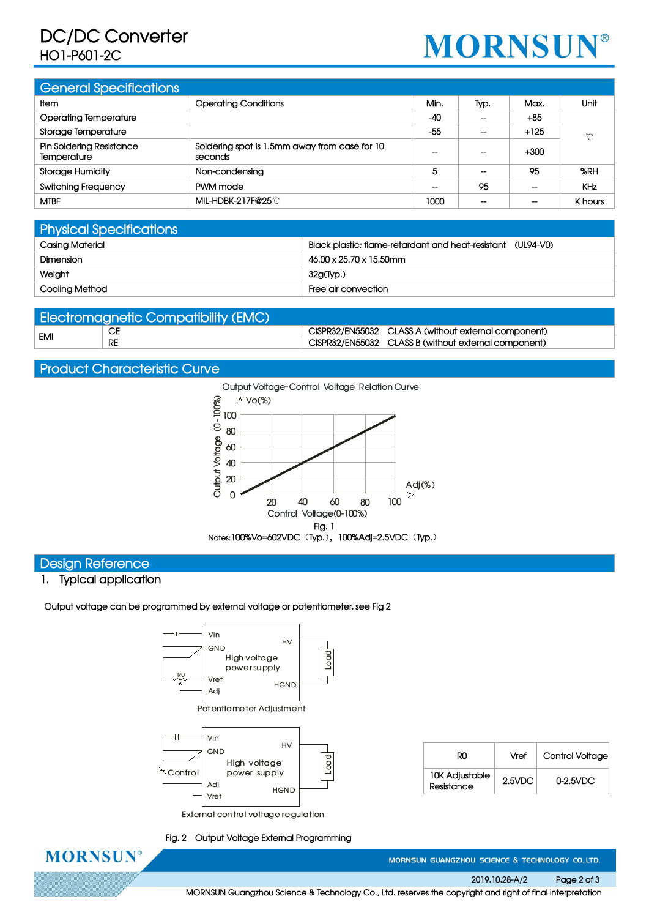## **DC/DC Converter HO1-P601-2C**

# **MORNSUN®**

| <b>General Specifications</b>           |                                                          |                   |                          |                          |            |
|-----------------------------------------|----------------------------------------------------------|-------------------|--------------------------|--------------------------|------------|
| <b>Item</b>                             | <b>Operating Conditions</b>                              | Min.              | Typ.                     | Max.                     | Unit       |
| <b>Operating Temperature</b>            |                                                          | $-40$             | $\overline{\phantom{m}}$ | $+85$                    |            |
| Storage Temperature                     |                                                          | $-55$             | $\overline{\phantom{m}}$ | $+125$                   | °C         |
| Pin Soldering Resistance<br>Temperature | Soldering spot is 1.5mm away from case for 10<br>seconds | $- -$             | $\overline{\phantom{a}}$ | $+300$                   |            |
| <b>Storage Humidity</b>                 | Non-condensing                                           | 5                 | $\hspace{0.05cm}$        | 95                       | %RH        |
| <b>Switching Frequency</b>              | PWM mode                                                 | $\hspace{0.05cm}$ | 95                       | --                       | <b>KHz</b> |
| <b>MTBF</b>                             | MIL-HDBK-217F@25℃                                        | 1000              | $\overline{\phantom{a}}$ | $\overline{\phantom{a}}$ | K hours    |

| <b>Physical Specifications</b> |                                                             |
|--------------------------------|-------------------------------------------------------------|
| Casing Material                | Black plastic; flame-retardant and heat-resistant (UL94-V0) |
| Dimension                      | 46.00 x 25.70 x 15.50mm                                     |
| Weight                         | $32g$ (Typ.)                                                |
| Cooling Method                 | Free air convection                                         |

| <b>Electromagnetic Compatibility (EMC)</b> |           |  |                                                      |  |  |  |  |
|--------------------------------------------|-----------|--|------------------------------------------------------|--|--|--|--|
| EMI                                        | СE        |  | CISPR32/EN55032 CLASS A (without external component) |  |  |  |  |
|                                            | <b>RE</b> |  | CISPR32/EN55032 CLASS B (without external component) |  |  |  |  |

#### **Product Characteristic Curve**



#### **Design Reference**

#### **1. Typical application**

**Output voltage can be programmed by external voltage or potentiometer, see Fig 2**



| R0                                  | Vref      | Control Voltage |
|-------------------------------------|-----------|-----------------|
| <b>10K Adjustable</b><br>Resistance | $2.5$ VDC | $0-2.5$ VDC     |

**Fig. 2 Output Voltage External Programming**



MORNSUN GUANGZHOU SCIENCE & TECHNOLOGY CO.,LTD.

**2019.10.28-A/2 Page 2 of 3**

**MORNSUN Guangzhou Science & Technology Co., Ltd. reserves the copyright and right of final interpretation**